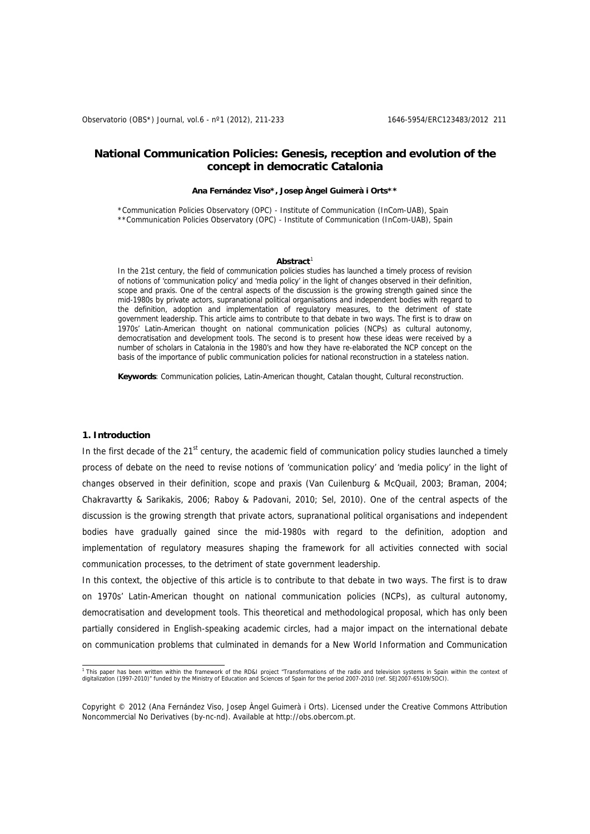# **National Communication Policies: Genesis, reception and evolution of the concept in democratic Catalonia**

#### **Ana Fernández Viso\*, Josep Àngel Guimerà i Orts\*\***

\*Communication Policies Observatory (OPC) - Institute of Communication (InCom-UAB), Spain \*\*Communication Policies Observatory (OPC) - Institute of Communication (InCom-UAB), Spain

#### **Abstract**[1](#page-0-0)

In the 21st century, the field of communication policies studies has launched a timely process of revision of notions of 'communication policy' and 'media policy' in the light of changes observed in their definition, scope and praxis. One of the central aspects of the discussion is the growing strength gained since the mid-1980s by private actors, supranational political organisations and independent bodies with regard to the definition, adoption and implementation of regulatory measures, to the detriment of state government leadership. This article aims to contribute to that debate in two ways. The first is to draw on 1970s' Latin-American thought on national communication policies (NCPs) as cultural autonomy, democratisation and development tools. The second is to present how these ideas were received by a number of scholars in Catalonia in the 1980's and how they have re-elaborated the NCP concept on the basis of the importance of public communication policies for national reconstruction in a stateless nation.

**Keywords**: Communication policies, Latin-American thought, Catalan thought, Cultural reconstruction.

# **1. Introduction**

In the first decade of the 21<sup>st</sup> century, the academic field of communication policy studies launched a timely process of debate on the need to revise notions of 'communication policy' and 'media policy' in the light of changes observed in their definition, scope and praxis (Van Cuilenburg & McQuail, 2003; Braman, 2004; Chakravartty & Sarikakis, 2006; Raboy & Padovani, 2010; Sel, 2010). One of the central aspects of the discussion is the growing strength that private actors, supranational political organisations and independent bodies have gradually gained since the mid-1980s with regard to the definition, adoption and implementation of regulatory measures shaping the framework for all activities connected with social communication processes, to the detriment of state government leadership.

In this context, the objective of this article is to contribute to that debate in two ways. The first is to draw on 1970s' Latin-American thought on national communication policies (NCPs), as cultural autonomy, democratisation and development tools. This theoretical and methodological proposal, which has only been partially considered in English-speaking academic circles, had a major impact on the international debate on communication problems that culminated in demands for a New World Information and Communication

<span id="page-0-0"></span><sup>1&</sup>lt;br>This paper has been written within the framework of the RD&I project "Transformations of the radio and television systems in Spain within the context of<br>digitalization (1997-2010)" funded by the Ministry of Education and

Copyright © 2012 (Ana Fernández Viso, Josep Àngel Guimerà i Orts). Licensed under the Creative Commons Attribution Noncommercial No Derivatives (by-nc-nd). Available at http://obs.obercom.pt.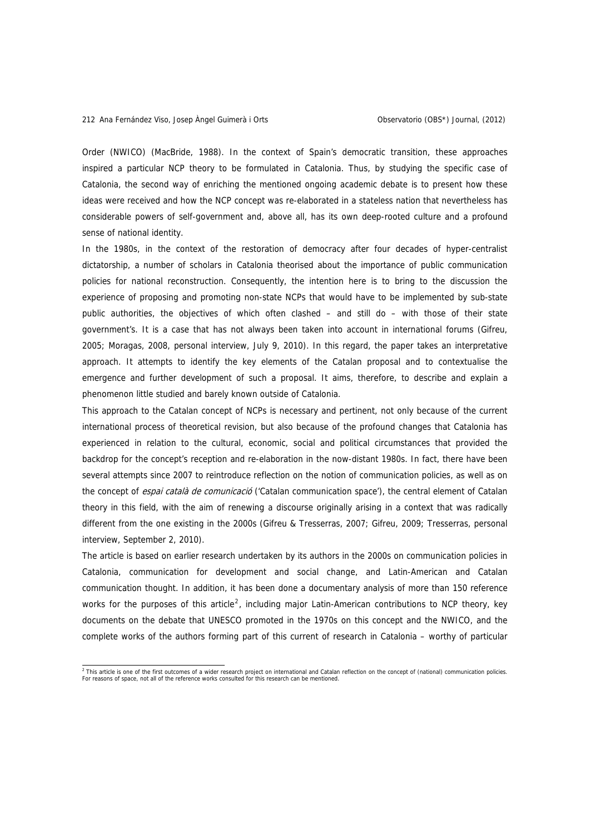Order (NWICO) (MacBride, 1988). In the context of Spain's democratic transition, these approaches inspired a particular NCP theory to be formulated in Catalonia. Thus, by studying the specific case of Catalonia, the second way of enriching the mentioned ongoing academic debate is to present how these ideas were received and how the NCP concept was re-elaborated in a stateless nation that nevertheless has considerable powers of self-government and, above all, has its own deep-rooted culture and a profound sense of national identity.

In the 1980s, in the context of the restoration of democracy after four decades of hyper-centralist dictatorship, a number of scholars in Catalonia theorised about the importance of public communication policies for national reconstruction. Consequently, the intention here is to bring to the discussion the experience of proposing and promoting non-state NCPs that would have to be implemented by sub-state public authorities, the objectives of which often clashed – and still do – with those of their state government's. It is a case that has not always been taken into account in international forums (Gifreu, 2005; Moragas, 2008, personal interview, July 9, 2010). In this regard, the paper takes an interpretative approach. It attempts to identify the key elements of the Catalan proposal and to contextualise the emergence and further development of such a proposal. It aims, therefore, to describe and explain a phenomenon little studied and barely known outside of Catalonia.

This approach to the Catalan concept of NCPs is necessary and pertinent, not only because of the current international process of theoretical revision, but also because of the profound changes that Catalonia has experienced in relation to the cultural, economic, social and political circumstances that provided the backdrop for the concept's reception and re-elaboration in the now-distant 1980s. In fact, there have been several attempts since 2007 to reintroduce reflection on the notion of communication policies, as well as on the concept of espai català de comunicació ('Catalan communication space'), the central element of Catalan theory in this field, with the aim of renewing a discourse originally arising in a context that was radically different from the one existing in the 2000s (Gifreu & Tresserras, 2007; Gifreu, 2009; Tresserras, personal interview, September 2, 2010).

The article is based on earlier research undertaken by its authors in the 2000s on communication policies in Catalonia, communication for development and social change, and Latin-American and Catalan communication thought. In addition, it has been done a documentary analysis of more than 150 reference works for the purposes of this article<sup>[2](#page-1-0)</sup>, including major Latin-American contributions to NCP theory, key documents on the debate that UNESCO promoted in the 1970s on this concept and the NWICO, and the complete works of the authors forming part of this current of research in Catalonia – worthy of particular

<span id="page-1-0"></span><sup>&</sup>lt;sup>2</sup> This article is one of the first outcomes of a wider research project on international and Catalan reflection on the concept of (national) communication policies.<br>For reasons of space, not all of the reference works co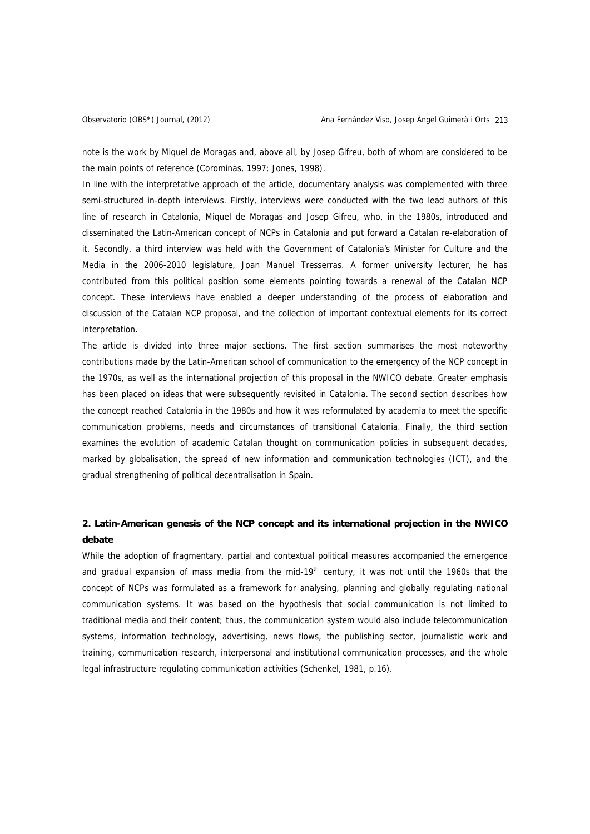note is the work by Miquel de Moragas and, above all, by Josep Gifreu, both of whom are considered to be the main points of reference (Corominas, 1997; Jones, 1998).

In line with the interpretative approach of the article, documentary analysis was complemented with three semi-structured in-depth interviews. Firstly, interviews were conducted with the two lead authors of this line of research in Catalonia, Miquel de Moragas and Josep Gifreu, who, in the 1980s, introduced and disseminated the Latin-American concept of NCPs in Catalonia and put forward a Catalan re-elaboration of it. Secondly, a third interview was held with the Government of Catalonia's Minister for Culture and the Media in the 2006-2010 legislature, Joan Manuel Tresserras. A former university lecturer, he has contributed from this political position some elements pointing towards a renewal of the Catalan NCP concept. These interviews have enabled a deeper understanding of the process of elaboration and discussion of the Catalan NCP proposal, and the collection of important contextual elements for its correct interpretation.

The article is divided into three major sections. The first section summarises the most noteworthy contributions made by the Latin-American school of communication to the emergency of the NCP concept in the 1970s, as well as the international projection of this proposal in the NWICO debate. Greater emphasis has been placed on ideas that were subsequently revisited in Catalonia. The second section describes how the concept reached Catalonia in the 1980s and how it was reformulated by academia to meet the specific communication problems, needs and circumstances of transitional Catalonia. Finally, the third section examines the evolution of academic Catalan thought on communication policies in subsequent decades, marked by globalisation, the spread of new information and communication technologies (ICT), and the gradual strengthening of political decentralisation in Spain.

# **2. Latin-American genesis of the NCP concept and its international projection in the NWICO debate**

While the adoption of fragmentary, partial and contextual political measures accompanied the emergence and gradual expansion of mass media from the mid-19<sup>th</sup> century, it was not until the 1960s that the concept of NCPs was formulated as a framework for analysing, planning and globally regulating national communication systems. It was based on the hypothesis that social communication is not limited to traditional media and their content; thus, the communication system would also include telecommunication systems, information technology, advertising, news flows, the publishing sector, journalistic work and training, communication research, interpersonal and institutional communication processes, and the whole legal infrastructure regulating communication activities (Schenkel, 1981, p.16).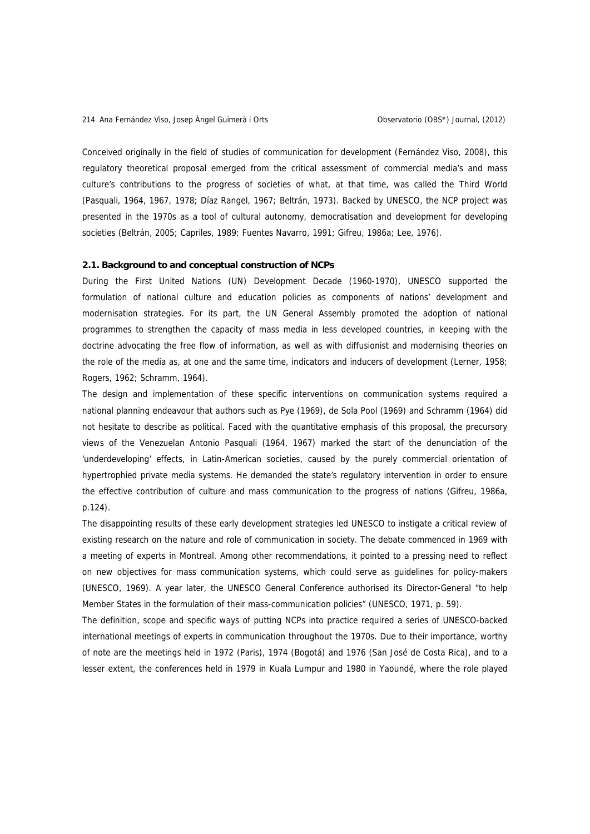Conceived originally in the field of studies of communication for development (Fernández Viso, 2008), this regulatory theoretical proposal emerged from the critical assessment of commercial media's and mass culture's contributions to the progress of societies of what, at that time, was called the Third World (Pasquali, 1964, 1967, 1978; Díaz Rangel, 1967; Beltrán, 1973). Backed by UNESCO, the NCP project was presented in the 1970s as a tool of cultural autonomy, democratisation and development for developing societies (Beltrán, 2005; Capriles, 1989; Fuentes Navarro, 1991; Gifreu, 1986a; Lee, 1976).

### **2.1. Background to and conceptual construction of NCPs**

During the First United Nations (UN) Development Decade (1960-1970), UNESCO supported the formulation of national culture and education policies as components of nations' development and modernisation strategies. For its part, the UN General Assembly promoted the adoption of national programmes to strengthen the capacity of mass media in less developed countries, in keeping with the doctrine advocating the free flow of information, as well as with diffusionist and modernising theories on the role of the media as, at one and the same time, indicators and inducers of development (Lerner, 1958; Rogers, 1962; Schramm, 1964).

The design and implementation of these specific interventions on communication systems required a national planning endeavour that authors such as Pye (1969), de Sola Pool (1969) and Schramm (1964) did not hesitate to describe as political. Faced with the quantitative emphasis of this proposal, the precursory views of the Venezuelan Antonio Pasquali (1964, 1967) marked the start of the denunciation of the 'underdeveloping' effects, in Latin-American societies, caused by the purely commercial orientation of hypertrophied private media systems. He demanded the state's regulatory intervention in order to ensure the effective contribution of culture and mass communication to the progress of nations (Gifreu, 1986a, p.124).

The disappointing results of these early development strategies led UNESCO to instigate a critical review of existing research on the nature and role of communication in society. The debate commenced in 1969 with a meeting of experts in Montreal. Among other recommendations, it pointed to a pressing need to reflect on new objectives for mass communication systems, which could serve as guidelines for policy-makers (UNESCO, 1969). A year later, the UNESCO General Conference authorised its Director-General "to help Member States in the formulation of their mass-communication policies" (UNESCO, 1971, p. 59).

The definition, scope and specific ways of putting NCPs into practice required a series of UNESCO-backed international meetings of experts in communication throughout the 1970s. Due to their importance, worthy of note are the meetings held in 1972 (Paris), 1974 (Bogotá) and 1976 (San José de Costa Rica), and to a lesser extent, the conferences held in 1979 in Kuala Lumpur and 1980 in Yaoundé, where the role played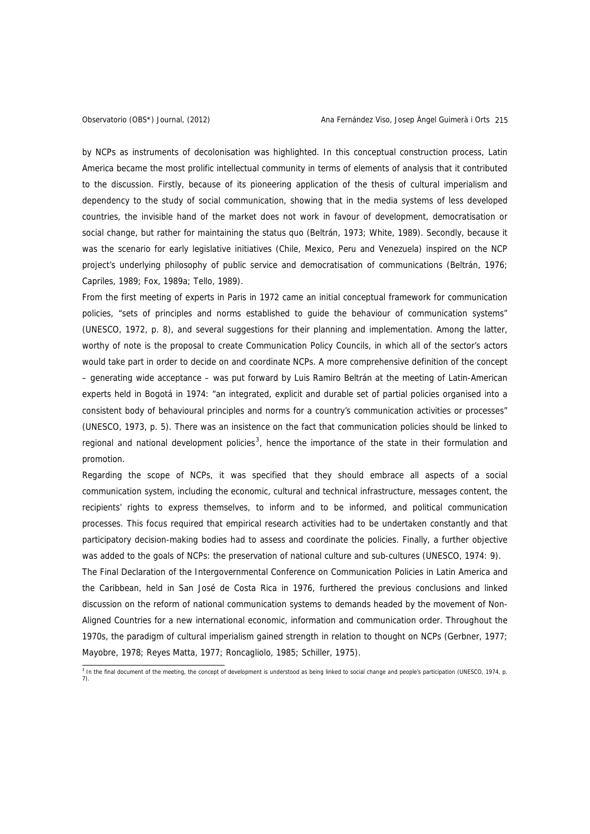by NCPs as instruments of decolonisation was highlighted. In this conceptual construction process, Latin America became the most prolific intellectual community in terms of elements of analysis that it contributed to the discussion. Firstly, because of its pioneering application of the thesis of cultural imperialism and dependency to the study of social communication, showing that in the media systems of less developed countries, the invisible hand of the market does not work in favour of development, democratisation or social change, but rather for maintaining the status quo (Beltrán, 1973; White, 1989). Secondly, because it was the scenario for early legislative initiatives (Chile, Mexico, Peru and Venezuela) inspired on the NCP project's underlying philosophy of public service and democratisation of communications (Beltrán, 1976; Capriles, 1989; Fox, 1989a; Tello, 1989).

From the first meeting of experts in Paris in 1972 came an initial conceptual framework for communication policies, "sets of principles and norms established to guide the behaviour of communication systems" (UNESCO, 1972, p. 8), and several suggestions for their planning and implementation. Among the latter, worthy of note is the proposal to create Communication Policy Councils, in which all of the sector's actors would take part in order to decide on and coordinate NCPs. A more comprehensive definition of the concept – generating wide acceptance – was put forward by Luis Ramiro Beltrán at the meeting of Latin-American experts held in Bogotá in 1974: "an integrated, explicit and durable set of partial policies organised into a consistent body of behavioural principles and norms for a country's communication activities or processes" (UNESCO, 1973, p. 5). There was an insistence on the fact that communication policies should be linked to regional and national development policies<sup>[3](#page-4-0)</sup>, hence the importance of the state in their formulation and promotion.

Regarding the scope of NCPs, it was specified that they should embrace all aspects of a social communication system, including the economic, cultural and technical infrastructure, messages content, the recipients' rights to express themselves, to inform and to be informed, and political communication processes. This focus required that empirical research activities had to be undertaken constantly and that participatory decision-making bodies had to assess and coordinate the policies. Finally, a further objective was added to the goals of NCPs: the preservation of national culture and sub-cultures (UNESCO, 1974: 9).

The Final Declaration of the Intergovernmental Conference on Communication Policies in Latin America and the Caribbean, held in San José de Costa Rica in 1976, furthered the previous conclusions and linked discussion on the reform of national communication systems to demands headed by the movement of Non-Aligned Countries for a new international economic, information and communication order. Throughout the 1970s, the paradigm of cultural imperialism gained strength in relation to thought on NCPs (Gerbner, 1977; Mayobre, 1978; Reyes Matta, 1977; Roncagliolo, 1985; Schiller, 1975).

<span id="page-4-0"></span> 3 In the final document of the meeting, the concept of development is understood as being linked to social change and people's participation (UNESCO, 1974, p. 7).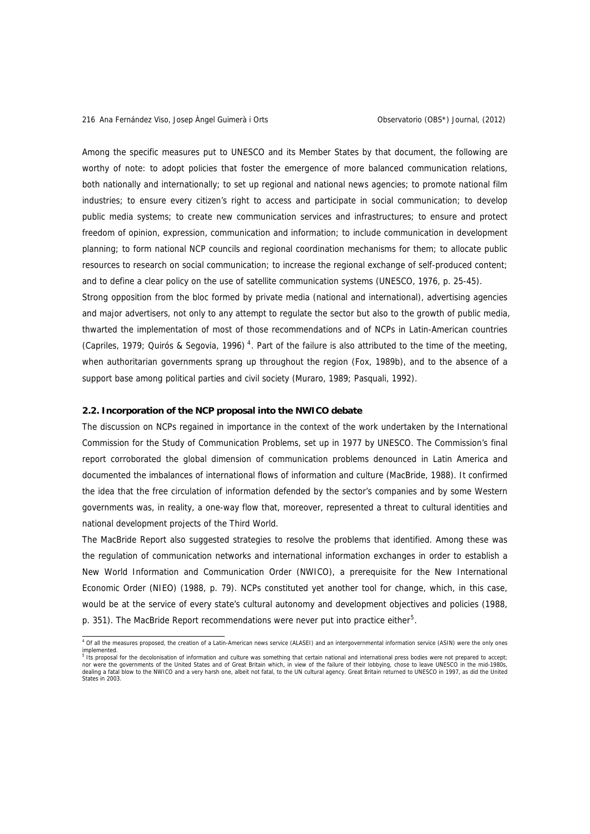Among the specific measures put to UNESCO and its Member States by that document, the following are worthy of note: to adopt policies that foster the emergence of more balanced communication relations, both nationally and internationally; to set up regional and national news agencies; to promote national film industries; to ensure every citizen's right to access and participate in social communication; to develop public media systems; to create new communication services and infrastructures; to ensure and protect freedom of opinion, expression, communication and information; to include communication in development planning; to form national NCP councils and regional coordination mechanisms for them; to allocate public resources to research on social communication; to increase the regional exchange of self-produced content; and to define a clear policy on the use of satellite communication systems (UNESCO, 1976, p. 25-45).

Strong opposition from the bloc formed by private media (national and international), advertising agencies and major advertisers, not only to any attempt to regulate the sector but also to the growth of public media, thwarted the implementation of most of those recommendations and of NCPs in Latin-American countries (Capriles, 1979; Quirós & Segovia, 1996)<sup>[4](#page-5-0)</sup>. Part of the failure is also attributed to the time of the meeting, when authoritarian governments sprang up throughout the region (Fox, 1989b), and to the absence of a support base among political parties and civil society (Muraro, 1989; Pasquali, 1992).

#### **2.2. Incorporation of the NCP proposal into the NWICO debate**

The discussion on NCPs regained in importance in the context of the work undertaken by the International Commission for the Study of Communication Problems, set up in 1977 by UNESCO. The Commission's final report corroborated the global dimension of communication problems denounced in Latin America and documented the imbalances of international flows of information and culture (MacBride, 1988). It confirmed the idea that the free circulation of information defended by the sector's companies and by some Western governments was, in reality, a one-way flow that, moreover, represented a threat to cultural identities and national development projects of the Third World.

The MacBride Report also suggested strategies to resolve the problems that identified. Among these was the regulation of communication networks and international information exchanges in order to establish a New World Information and Communication Order (NWICO), a prerequisite for the New International Economic Order (NIEO) (1988, p. 79). NCPs constituted yet another tool for change, which, in this case, would be at the service of every state's cultural autonomy and development objectives and policies (1988, p. 3[5](#page-5-1)1). The MacBride Report recommendations were never put into practice either<sup>5</sup>.

<span id="page-5-0"></span> 4 Of all the measures proposed, the creation of a Latin-American news service (ALASEI) and an intergovernmental information service (ASIN) were the only ones implemented.<br><sup>5</sup> Its proposal for the decolonisation of information and culture was something that certain national and international press bodies were not prepared to accept;

<span id="page-5-1"></span>nor were the governments of the United States and of Great Britain which, in view of the failure of their lobbying, chose to leave UNESCO in the mid-1980s, dealing a fatal blow to the NWICO and a very harsh one, albeit not fatal, to the UN cultural agency. Great Britain returned to UNESCO in 1997, as did the United States in 2003.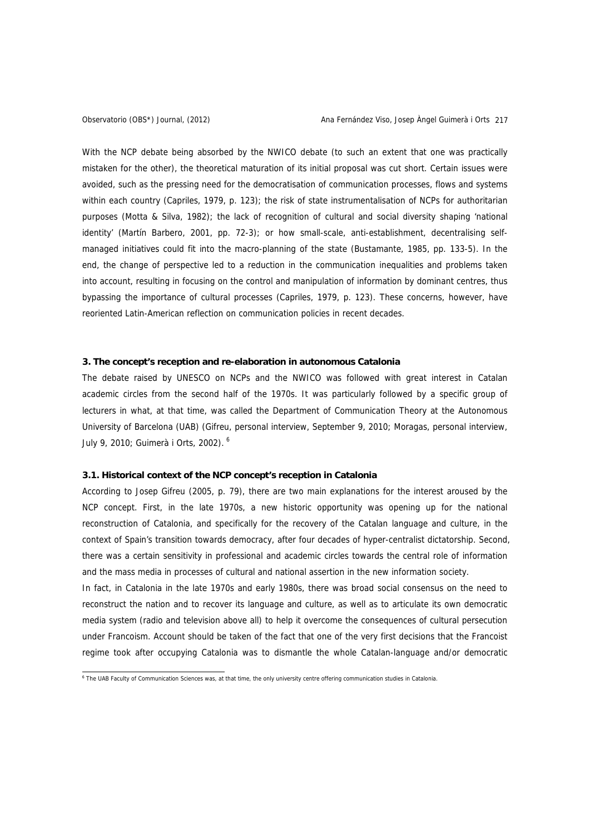With the NCP debate being absorbed by the NWICO debate (to such an extent that one was practically mistaken for the other), the theoretical maturation of its initial proposal was cut short. Certain issues were avoided, such as the pressing need for the democratisation of communication processes, flows and systems within each country (Capriles, 1979, p. 123); the risk of state instrumentalisation of NCPs for authoritarian purposes (Motta & Silva, 1982); the lack of recognition of cultural and social diversity shaping 'national identity' (Martín Barbero, 2001, pp. 72-3); or how small-scale, anti-establishment, decentralising selfmanaged initiatives could fit into the macro-planning of the state (Bustamante, 1985, pp. 133-5). In the end, the change of perspective led to a reduction in the communication inequalities and problems taken into account, resulting in focusing on the control and manipulation of information by dominant centres, thus bypassing the importance of cultural processes (Capriles, 1979, p. 123). These concerns, however, have reoriented Latin-American reflection on communication policies in recent decades.

## **3. The concept's reception and re-elaboration in autonomous Catalonia**

The debate raised by UNESCO on NCPs and the NWICO was followed with great interest in Catalan academic circles from the second half of the 1970s. It was particularly followed by a specific group of lecturers in what, at that time, was called the Department of Communication Theory at the Autonomous University of Barcelona (UAB) (Gifreu, personal interview, September 9, 2010; Moragas, personal interview, July 9, 2010; Guimerà i Orts, 2002). [6](#page-6-0)

#### **3.1. Historical context of the NCP concept's reception in Catalonia**

According to Josep Gifreu (2005, p. 79), there are two main explanations for the interest aroused by the NCP concept. First, in the late 1970s, a new historic opportunity was opening up for the national reconstruction of Catalonia, and specifically for the recovery of the Catalan language and culture, in the context of Spain's transition towards democracy, after four decades of hyper-centralist dictatorship. Second, there was a certain sensitivity in professional and academic circles towards the central role of information and the mass media in processes of cultural and national assertion in the new information society.

In fact, in Catalonia in the late 1970s and early 1980s, there was broad social consensus on the need to reconstruct the nation and to recover its language and culture, as well as to articulate its own democratic media system (radio and television above all) to help it overcome the consequences of cultural persecution under Francoism. Account should be taken of the fact that one of the very first decisions that the Francoist regime took after occupying Catalonia was to dismantle the whole Catalan-language and/or democratic

<span id="page-6-0"></span><sup>&</sup>lt;sup>6</sup> The UAB Faculty of Communication Sciences was, at that time, the only university centre offering communication studies in Catalonia.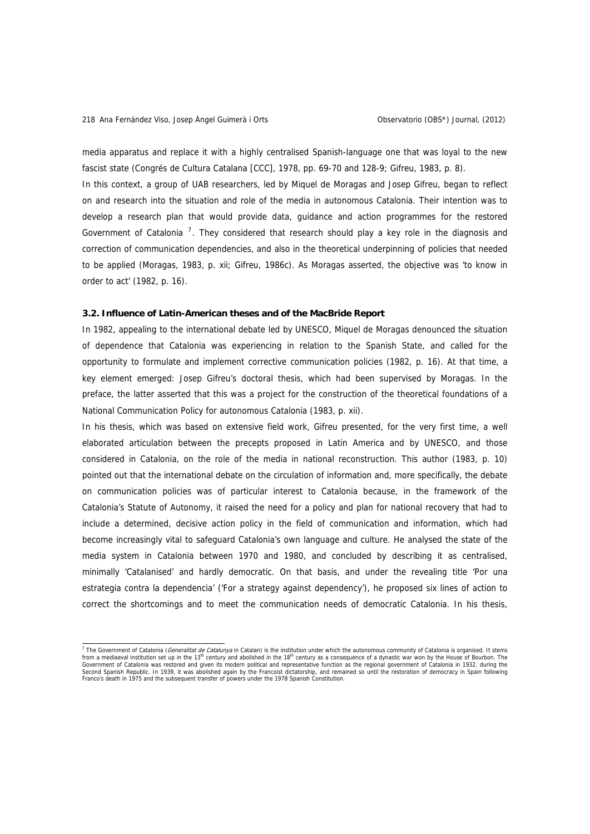media apparatus and replace it with a highly centralised Spanish-language one that was loyal to the new fascist state (Congrés de Cultura Catalana [CCC], 1978, pp. 69-70 and 128-9; Gifreu, 1983, p. 8).

In this context, a group of UAB researchers, led by Miquel de Moragas and Josep Gifreu, began to reflect on and research into the situation and role of the media in autonomous Catalonia. Their intention was to develop a research plan that would provide data, guidance and action programmes for the restored Government of Catalonia  $<sup>7</sup>$  $<sup>7</sup>$  $<sup>7</sup>$ . They considered that research should play a key role in the diagnosis and</sup> correction of communication dependencies, and also in the theoretical underpinning of policies that needed to be applied (Moragas, 1983, p. xii; Gifreu, 1986c). As Moragas asserted, the objective was 'to know in order to act' (1982, p. 16).

#### **3.2. Influence of Latin-American theses and of the MacBride Report**

In 1982, appealing to the international debate led by UNESCO, Miquel de Moragas denounced the situation of dependence that Catalonia was experiencing in relation to the Spanish State, and called for the opportunity to formulate and implement corrective communication policies (1982, p. 16). At that time, a key element emerged: Josep Gifreu's doctoral thesis, which had been supervised by Moragas. In the preface, the latter asserted that this was a project for the construction of the theoretical foundations of a National Communication Policy for autonomous Catalonia (1983, p. xii).

In his thesis, which was based on extensive field work, Gifreu presented, for the very first time, a well elaborated articulation between the precepts proposed in Latin America and by UNESCO, and those considered in Catalonia, on the role of the media in national reconstruction. This author (1983, p. 10) pointed out that the international debate on the circulation of information and, more specifically, the debate on communication policies was of particular interest to Catalonia because, in the framework of the Catalonia's Statute of Autonomy, it raised the need for a policy and plan for national recovery that had to include a determined, decisive action policy in the field of communication and information, which had become increasingly vital to safeguard Catalonia's own language and culture. He analysed the state of the media system in Catalonia between 1970 and 1980, and concluded by describing it as centralised, minimally 'Catalanised' and hardly democratic. On that basis, and under the revealing title 'Por una estrategia contra la dependencia' ('For a strategy against dependency'), he proposed six lines of action to correct the shortcomings and to meet the communication needs of democratic Catalonia. In his thesis,

<span id="page-7-0"></span><sup>&</sup>lt;sup>7</sup> The Government of Catalonia (*Generalitat de Catalunya* in Catalan) is the institution under which the autonomous community of Catalonia is organised. It stems from a mediaeval institution set up in the 13<sup>th</sup> century and abolished in the 18<sup>th</sup> century as a consequence of a dynastic war won by the House of Bourbon. The<br>Government of Catalonia was restored and given its modern po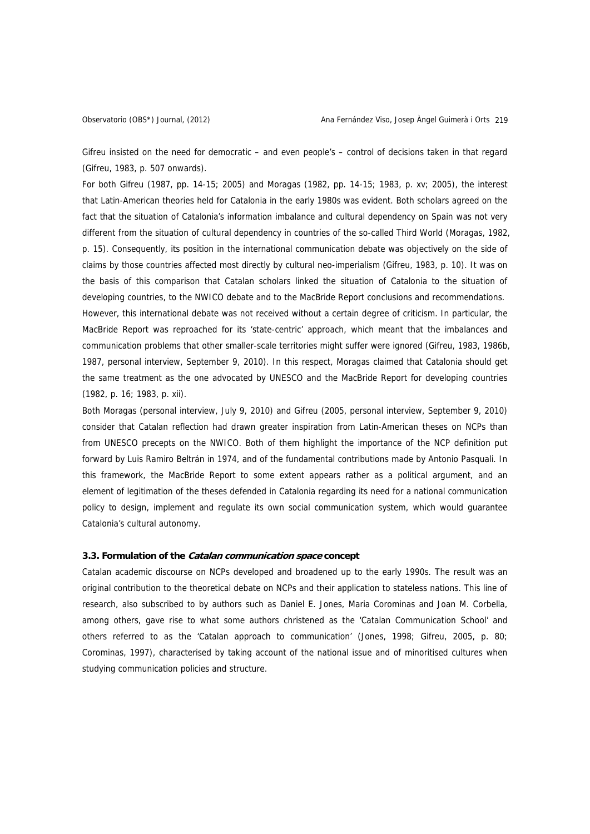Gifreu insisted on the need for democratic – and even people's – control of decisions taken in that regard (Gifreu, 1983, p. 507 onwards).

For both Gifreu (1987, pp. 14-15; 2005) and Moragas (1982, pp. 14-15; 1983, p. xv; 2005), the interest that Latin-American theories held for Catalonia in the early 1980s was evident. Both scholars agreed on the fact that the situation of Catalonia's information imbalance and cultural dependency on Spain was not very different from the situation of cultural dependency in countries of the so-called Third World (Moragas, 1982, p. 15). Consequently, its position in the international communication debate was objectively on the side of claims by those countries affected most directly by cultural neo-imperialism (Gifreu, 1983, p. 10). It was on the basis of this comparison that Catalan scholars linked the situation of Catalonia to the situation of developing countries, to the NWICO debate and to the MacBride Report conclusions and recommendations. However, this international debate was not received without a certain degree of criticism. In particular, the MacBride Report was reproached for its 'state-centric' approach, which meant that the imbalances and communication problems that other smaller-scale territories might suffer were ignored (Gifreu, 1983, 1986b, 1987, personal interview, September 9, 2010). In this respect, Moragas claimed that Catalonia should get the same treatment as the one advocated by UNESCO and the MacBride Report for developing countries (1982, p. 16; 1983, p. xii).

Both Moragas (personal interview, July 9, 2010) and Gifreu (2005, personal interview, September 9, 2010) consider that Catalan reflection had drawn greater inspiration from Latin-American theses on NCPs than from UNESCO precepts on the NWICO. Both of them highlight the importance of the NCP definition put forward by Luis Ramiro Beltrán in 1974, and of the fundamental contributions made by Antonio Pasquali. In this framework, the MacBride Report to some extent appears rather as a political argument, and an element of legitimation of the theses defended in Catalonia regarding its need for a national communication policy to design, implement and regulate its own social communication system, which would guarantee Catalonia's cultural autonomy.

# **3.3. Formulation of the Catalan communication space concept**

Catalan academic discourse on NCPs developed and broadened up to the early 1990s. The result was an original contribution to the theoretical debate on NCPs and their application to stateless nations. This line of research, also subscribed to by authors such as Daniel E. Jones, Maria Corominas and Joan M. Corbella, among others, gave rise to what some authors christened as the 'Catalan Communication School' and others referred to as the 'Catalan approach to communication' (Jones, 1998; Gifreu, 2005, p. 80; Corominas, 1997), characterised by taking account of the national issue and of minoritised cultures when studying communication policies and structure.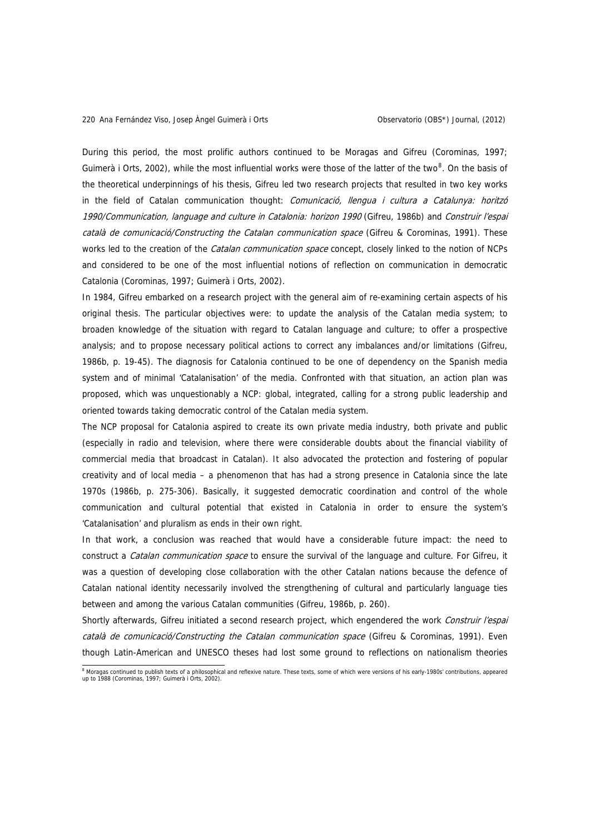During this period, the most prolific authors continued to be Moragas and Gifreu (Corominas, 1997; Guimerà i Orts, 2002), while the most influential works were those of the latter of the two<sup>[8](#page-9-0)</sup>. On the basis of the theoretical underpinnings of his thesis, Gifreu led two research projects that resulted in two key works in the field of Catalan communication thought: Comunicació, llengua i cultura a Catalunya: horitzó 1990/Communication, language and culture in Catalonia: horizon 1990 (Gifreu, 1986b) and Construir l'espai català de comunicació/Constructing the Catalan communication space (Gifreu & Corominas, 1991). These works led to the creation of the *Catalan communication space* concept, closely linked to the notion of NCPs and considered to be one of the most influential notions of reflection on communication in democratic Catalonia (Corominas, 1997; Guimerà i Orts, 2002).

In 1984, Gifreu embarked on a research project with the general aim of re-examining certain aspects of his original thesis. The particular objectives were: to update the analysis of the Catalan media system; to broaden knowledge of the situation with regard to Catalan language and culture; to offer a prospective analysis; and to propose necessary political actions to correct any imbalances and/or limitations (Gifreu, 1986b, p. 19-45). The diagnosis for Catalonia continued to be one of dependency on the Spanish media system and of minimal 'Catalanisation' of the media. Confronted with that situation, an action plan was proposed, which was unquestionably a NCP: global, integrated, calling for a strong public leadership and oriented towards taking democratic control of the Catalan media system.

The NCP proposal for Catalonia aspired to create its own private media industry, both private and public (especially in radio and television, where there were considerable doubts about the financial viability of commercial media that broadcast in Catalan). It also advocated the protection and fostering of popular creativity and of local media – a phenomenon that has had a strong presence in Catalonia since the late 1970s (1986b, p. 275-306). Basically, it suggested democratic coordination and control of the whole communication and cultural potential that existed in Catalonia in order to ensure the system's 'Catalanisation' and pluralism as ends in their own right.

In that work, a conclusion was reached that would have a considerable future impact: the need to construct a *Catalan communication space* to ensure the survival of the language and culture. For Gifreu, it was a question of developing close collaboration with the other Catalan nations because the defence of Catalan national identity necessarily involved the strengthening of cultural and particularly language ties between and among the various Catalan communities (Gifreu, 1986b, p. 260).

Shortly afterwards, Gifreu initiated a second research project, which engendered the work Construir l'espai català de comunicació/Constructing the Catalan communication space (Gifreu & Corominas, 1991). Even though Latin-American and UNESCO theses had lost some ground to reflections on nationalism theories

<span id="page-9-0"></span><sup>&</sup>lt;sup>8</sup> Moragas continued to publish texts of a philosophical and reflexive nature. These texts, some of which were versions of his early-1980s' contributions, appeared up to 1988 (Corominas, 1997; Guimerà i Orts, 2002).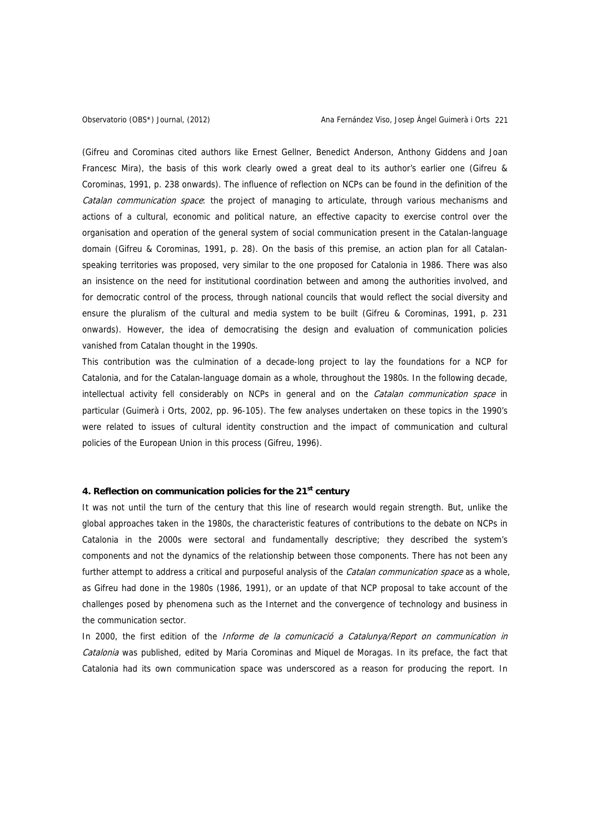(Gifreu and Corominas cited authors like Ernest Gellner, Benedict Anderson, Anthony Giddens and Joan Francesc Mira), the basis of this work clearly owed a great deal to its author's earlier one (Gifreu & Corominas, 1991, p. 238 onwards). The influence of reflection on NCPs can be found in the definition of the Catalan communication space: the project of managing to articulate, through various mechanisms and actions of a cultural, economic and political nature, an effective capacity to exercise control over the organisation and operation of the general system of social communication present in the Catalan-language domain (Gifreu & Corominas, 1991, p. 28). On the basis of this premise, an action plan for all Catalanspeaking territories was proposed, very similar to the one proposed for Catalonia in 1986. There was also an insistence on the need for institutional coordination between and among the authorities involved, and for democratic control of the process, through national councils that would reflect the social diversity and ensure the pluralism of the cultural and media system to be built (Gifreu & Corominas, 1991, p. 231 onwards). However, the idea of democratising the design and evaluation of communication policies vanished from Catalan thought in the 1990s.

This contribution was the culmination of a decade-long project to lay the foundations for a NCP for Catalonia, and for the Catalan-language domain as a whole, throughout the 1980s. In the following decade, intellectual activity fell considerably on NCPs in general and on the Catalan communication space in particular (Guimerà i Orts, 2002, pp. 96-105). The few analyses undertaken on these topics in the 1990's were related to issues of cultural identity construction and the impact of communication and cultural policies of the European Union in this process (Gifreu, 1996).

# **4. Reflection on communication policies for the 21st century**

It was not until the turn of the century that this line of research would regain strength. But, unlike the global approaches taken in the 1980s, the characteristic features of contributions to the debate on NCPs in Catalonia in the 2000s were sectoral and fundamentally descriptive; they described the system's components and not the dynamics of the relationship between those components. There has not been any further attempt to address a critical and purposeful analysis of the *Catalan communication space* as a whole, as Gifreu had done in the 1980s (1986, 1991), or an update of that NCP proposal to take account of the challenges posed by phenomena such as the Internet and the convergence of technology and business in the communication sector.

In 2000, the first edition of the *Informe de la comunicació a Catalunya/Report on communication in* Catalonia was published, edited by Maria Corominas and Miquel de Moragas. In its preface, the fact that Catalonia had its own communication space was underscored as a reason for producing the report. In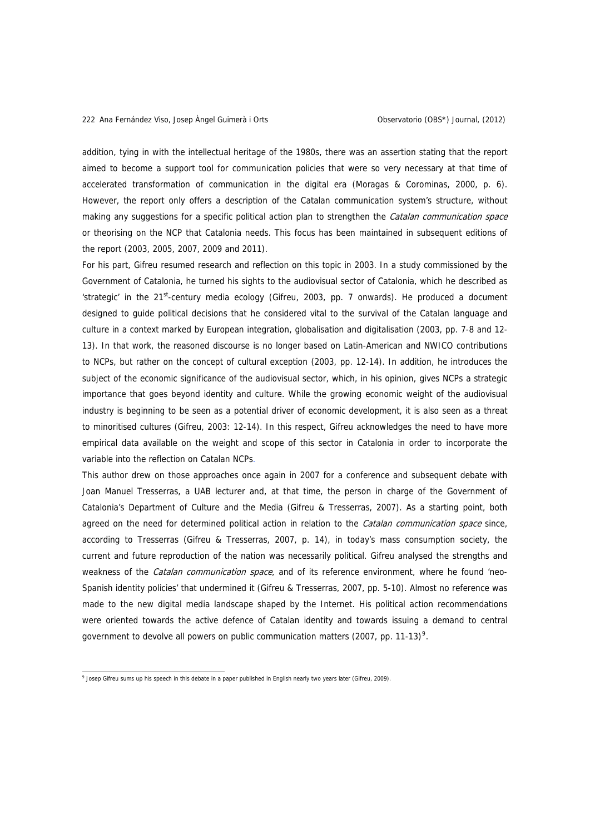addition, tying in with the intellectual heritage of the 1980s, there was an assertion stating that the report aimed to become a support tool for communication policies that were so very necessary at that time of accelerated transformation of communication in the digital era (Moragas & Corominas, 2000, p. 6). However, the report only offers a description of the Catalan communication system's structure, without making any suggestions for a specific political action plan to strengthen the *Catalan communication space* or theorising on the NCP that Catalonia needs. This focus has been maintained in subsequent editions of the report (2003, 2005, 2007, 2009 and 2011).

For his part, Gifreu resumed research and reflection on this topic in 2003. In a study commissioned by the Government of Catalonia, he turned his sights to the audiovisual sector of Catalonia, which he described as 'strategic' in the 21<sup>st</sup>-century media ecology (Gifreu, 2003, pp. 7 onwards). He produced a document designed to guide political decisions that he considered vital to the survival of the Catalan language and culture in a context marked by European integration, globalisation and digitalisation (2003, pp. 7-8 and 12- 13). In that work, the reasoned discourse is no longer based on Latin-American and NWICO contributions to NCPs, but rather on the concept of cultural exception (2003, pp. 12-14). In addition, he introduces the subject of the economic significance of the audiovisual sector, which, in his opinion, gives NCPs a strategic importance that goes beyond identity and culture. While the growing economic weight of the audiovisual industry is beginning to be seen as a potential driver of economic development, it is also seen as a threat to minoritised cultures (Gifreu, 2003: 12-14). In this respect, Gifreu acknowledges the need to have more empirical data available on the weight and scope of this sector in Catalonia in order to incorporate the variable into the reflection on Catalan NCPs.

This author drew on those approaches once again in 2007 for a conference and subsequent debate with Joan Manuel Tresserras, a UAB lecturer and, at that time, the person in charge of the Government of Catalonia's Department of Culture and the Media (Gifreu & Tresserras, 2007). As a starting point, both agreed on the need for determined political action in relation to the Catalan communication space since, according to Tresserras (Gifreu & Tresserras, 2007, p. 14), in today's mass consumption society, the current and future reproduction of the nation was necessarily political. Gifreu analysed the strengths and weakness of the *Catalan communication space*, and of its reference environment, where he found 'neo-Spanish identity policies' that undermined it (Gifreu & Tresserras, 2007, pp. 5-10). Almost no reference was made to the new digital media landscape shaped by the Internet. His political action recommendations were oriented towards the active defence of Catalan identity and towards issuing a demand to central government to devolve all powers on public communication matters (2007, pp. 11-13)<sup>[9](#page-11-0)</sup>.

<span id="page-11-0"></span> 9 Josep Gifreu sums up his speech in this debate in a paper published in English nearly two years later (Gifreu, 2009).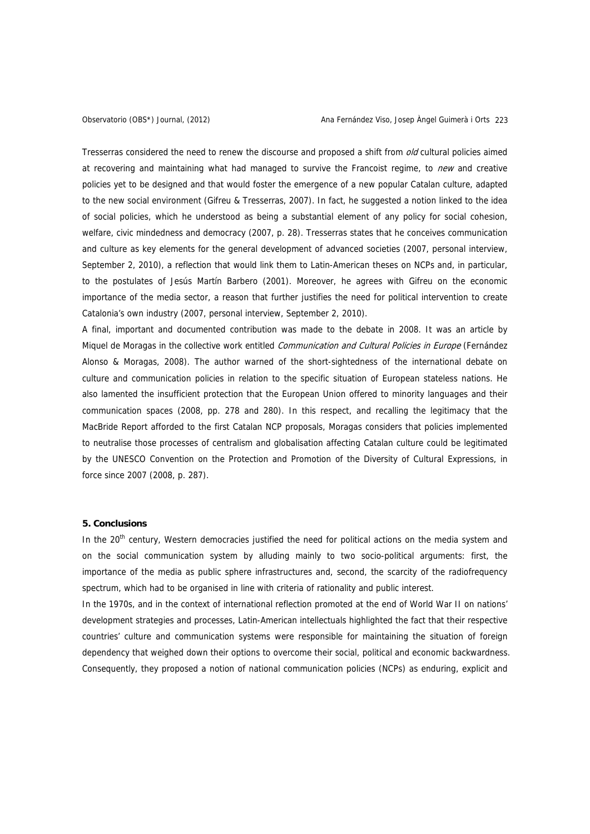Tresserras considered the need to renew the discourse and proposed a shift from *old* cultural policies aimed at recovering and maintaining what had managed to survive the Francoist regime, to new and creative policies yet to be designed and that would foster the emergence of a new popular Catalan culture, adapted to the new social environment (Gifreu & Tresserras, 2007). In fact, he suggested a notion linked to the idea of social policies, which he understood as being a substantial element of any policy for social cohesion, welfare, civic mindedness and democracy (2007, p. 28). Tresserras states that he conceives communication and culture as key elements for the general development of advanced societies (2007, personal interview, September 2, 2010), a reflection that would link them to Latin-American theses on NCPs and, in particular, to the postulates of Jesús Martín Barbero (2001). Moreover, he agrees with Gifreu on the economic importance of the media sector, a reason that further justifies the need for political intervention to create Catalonia's own industry (2007, personal interview, September 2, 2010).

A final, important and documented contribution was made to the debate in 2008. It was an article by Miquel de Moragas in the collective work entitled Communication and Cultural Policies in Europe (Fernández Alonso & Moragas, 2008). The author warned of the short-sightedness of the international debate on culture and communication policies in relation to the specific situation of European stateless nations. He also lamented the insufficient protection that the European Union offered to minority languages and their communication spaces (2008, pp. 278 and 280). In this respect, and recalling the legitimacy that the MacBride Report afforded to the first Catalan NCP proposals, Moragas considers that policies implemented to neutralise those processes of centralism and globalisation affecting Catalan culture could be legitimated by the UNESCO Convention on the Protection and Promotion of the Diversity of Cultural Expressions, in force since 2007 (2008, p. 287).

#### **5. Conclusions**

In the  $20<sup>th</sup>$  century, Western democracies justified the need for political actions on the media system and on the social communication system by alluding mainly to two socio-political arguments: first, the importance of the media as public sphere infrastructures and, second, the scarcity of the radiofrequency spectrum, which had to be organised in line with criteria of rationality and public interest.

In the 1970s, and in the context of international reflection promoted at the end of World War II on nations' development strategies and processes, Latin-American intellectuals highlighted the fact that their respective countries' culture and communication systems were responsible for maintaining the situation of foreign dependency that weighed down their options to overcome their social, political and economic backwardness. Consequently, they proposed a notion of national communication policies (NCPs) as enduring, explicit and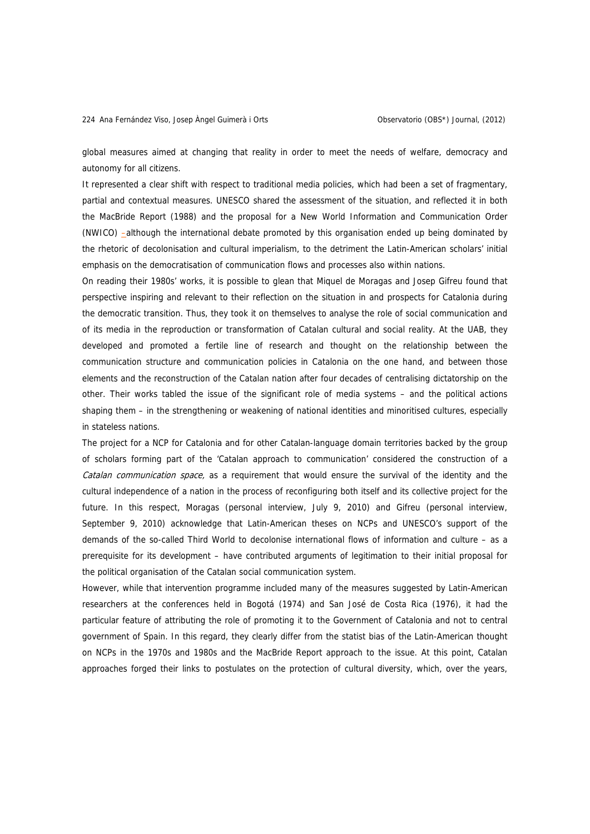global measures aimed at changing that reality in order to meet the needs of welfare, democracy and autonomy for all citizens.

It represented a clear shift with respect to traditional media policies, which had been a set of fragmentary, partial and contextual measures. UNESCO shared the assessment of the situation, and reflected it in both the MacBride Report (1988) and the proposal for a New World Information and Communication Order (NWICO) –although the international debate promoted by this organisation ended up being dominated by the rhetoric of decolonisation and cultural imperialism, to the detriment the Latin-American scholars' initial emphasis on the democratisation of communication flows and processes also within nations.

On reading their 1980s' works, it is possible to glean that Miquel de Moragas and Josep Gifreu found that perspective inspiring and relevant to their reflection on the situation in and prospects for Catalonia during the democratic transition. Thus, they took it on themselves to analyse the role of social communication and of its media in the reproduction or transformation of Catalan cultural and social reality. At the UAB, they developed and promoted a fertile line of research and thought on the relationship between the communication structure and communication policies in Catalonia on the one hand, and between those elements and the reconstruction of the Catalan nation after four decades of centralising dictatorship on the other. Their works tabled the issue of the significant role of media systems – and the political actions shaping them – in the strengthening or weakening of national identities and minoritised cultures, especially in stateless nations.

The project for a NCP for Catalonia and for other Catalan-language domain territories backed by the group of scholars forming part of the 'Catalan approach to communication' considered the construction of a Catalan communication space, as a requirement that would ensure the survival of the identity and the cultural independence of a nation in the process of reconfiguring both itself and its collective project for the future. In this respect, Moragas (personal interview, July 9, 2010) and Gifreu (personal interview, September 9, 2010) acknowledge that Latin-American theses on NCPs and UNESCO's support of the demands of the so-called Third World to decolonise international flows of information and culture – as a prerequisite for its development – have contributed arguments of legitimation to their initial proposal for the political organisation of the Catalan social communication system.

However, while that intervention programme included many of the measures suggested by Latin-American researchers at the conferences held in Bogotá (1974) and San José de Costa Rica (1976), it had the particular feature of attributing the role of promoting it to the Government of Catalonia and not to central government of Spain. In this regard, they clearly differ from the statist bias of the Latin-American thought on NCPs in the 1970s and 1980s and the MacBride Report approach to the issue. At this point, Catalan approaches forged their links to postulates on the protection of cultural diversity, which, over the years,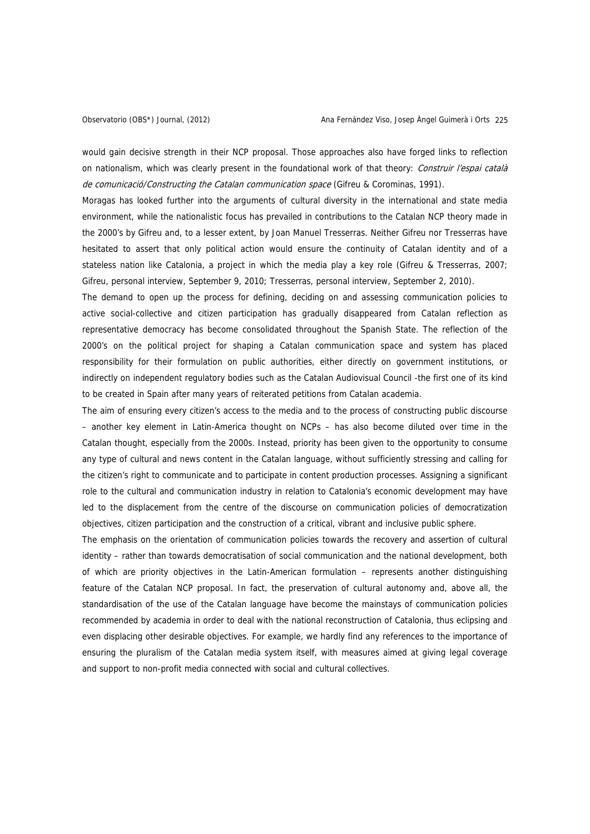would gain decisive strength in their NCP proposal. Those approaches also have forged links to reflection on nationalism, which was clearly present in the foundational work of that theory: Construir l'espai català de comunicació/Constructing the Catalan communication space (Gifreu & Corominas, 1991).

Moragas has looked further into the arguments of cultural diversity in the international and state media environment, while the nationalistic focus has prevailed in contributions to the Catalan NCP theory made in the 2000's by Gifreu and, to a lesser extent, by Joan Manuel Tresserras. Neither Gifreu nor Tresserras have hesitated to assert that only political action would ensure the continuity of Catalan identity and of a stateless nation like Catalonia, a project in which the media play a key role (Gifreu & Tresserras, 2007; Gifreu, personal interview, September 9, 2010; Tresserras, personal interview, September 2, 2010).

The demand to open up the process for defining, deciding on and assessing communication policies to active social-collective and citizen participation has gradually disappeared from Catalan reflection as representative democracy has become consolidated throughout the Spanish State. The reflection of the 2000's on the political project for shaping a Catalan communication space and system has placed responsibility for their formulation on public authorities, either directly on government institutions, or indirectly on independent regulatory bodies such as the Catalan Audiovisual Council -the first one of its kind to be created in Spain after many years of reiterated petitions from Catalan academia.

The aim of ensuring every citizen's access to the media and to the process of constructing public discourse – another key element in Latin-America thought on NCPs – has also become diluted over time in the Catalan thought, especially from the 2000s. Instead, priority has been given to the opportunity to consume any type of cultural and news content in the Catalan language, without sufficiently stressing and calling for the citizen's right to communicate and to participate in content production processes. Assigning a significant role to the cultural and communication industry in relation to Catalonia's economic development may have led to the displacement from the centre of the discourse on communication policies of democratization objectives, citizen participation and the construction of a critical, vibrant and inclusive public sphere.

The emphasis on the orientation of communication policies towards the recovery and assertion of cultural identity – rather than towards democratisation of social communication and the national development, both of which are priority objectives in the Latin-American formulation – represents another distinguishing feature of the Catalan NCP proposal. In fact, the preservation of cultural autonomy and, above all, the standardisation of the use of the Catalan language have become the mainstays of communication policies recommended by academia in order to deal with the national reconstruction of Catalonia, thus eclipsing and even displacing other desirable objectives. For example, we hardly find any references to the importance of ensuring the pluralism of the Catalan media system itself, with measures aimed at giving legal coverage and support to non-profit media connected with social and cultural collectives.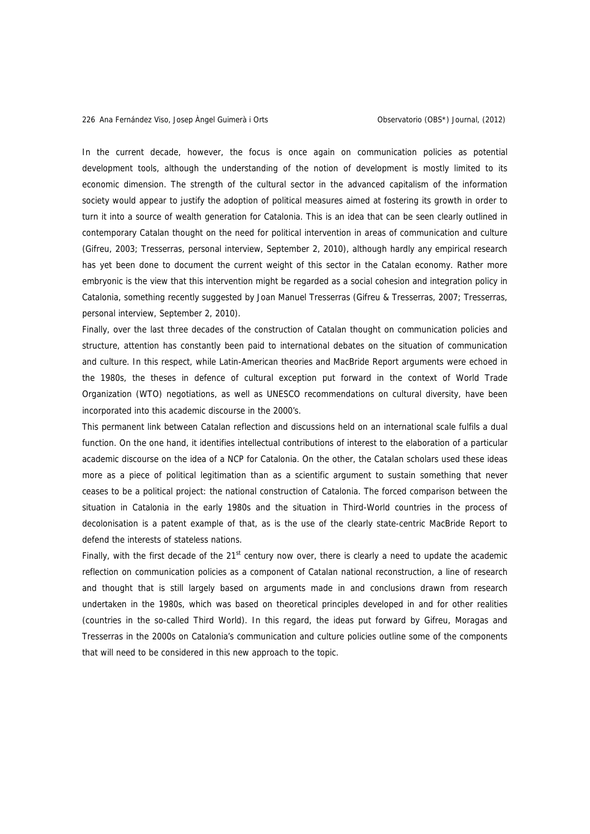In the current decade, however, the focus is once again on communication policies as potential development tools, although the understanding of the notion of development is mostly limited to its economic dimension. The strength of the cultural sector in the advanced capitalism of the information society would appear to justify the adoption of political measures aimed at fostering its growth in order to turn it into a source of wealth generation for Catalonia. This is an idea that can be seen clearly outlined in contemporary Catalan thought on the need for political intervention in areas of communication and culture (Gifreu, 2003; Tresserras, personal interview, September 2, 2010), although hardly any empirical research has yet been done to document the current weight of this sector in the Catalan economy. Rather more embryonic is the view that this intervention might be regarded as a social cohesion and integration policy in Catalonia, something recently suggested by Joan Manuel Tresserras (Gifreu & Tresserras, 2007; Tresserras, personal interview, September 2, 2010).

Finally, over the last three decades of the construction of Catalan thought on communication policies and structure, attention has constantly been paid to international debates on the situation of communication and culture. In this respect, while Latin-American theories and MacBride Report arguments were echoed in the 1980s, the theses in defence of cultural exception put forward in the context of World Trade Organization (WTO) negotiations, as well as UNESCO recommendations on cultural diversity, have been incorporated into this academic discourse in the 2000's.

This permanent link between Catalan reflection and discussions held on an international scale fulfils a dual function. On the one hand, it identifies intellectual contributions of interest to the elaboration of a particular academic discourse on the idea of a NCP for Catalonia. On the other, the Catalan scholars used these ideas more as a piece of political legitimation than as a scientific argument to sustain something that never ceases to be a political project: the national construction of Catalonia. The forced comparison between the situation in Catalonia in the early 1980s and the situation in Third-World countries in the process of decolonisation is a patent example of that, as is the use of the clearly state-centric MacBride Report to defend the interests of stateless nations.

Finally, with the first decade of the  $21<sup>st</sup>$  century now over, there is clearly a need to update the academic reflection on communication policies as a component of Catalan national reconstruction, a line of research and thought that is still largely based on arguments made in and conclusions drawn from research undertaken in the 1980s, which was based on theoretical principles developed in and for other realities (countries in the so-called Third World). In this regard, the ideas put forward by Gifreu, Moragas and Tresserras in the 2000s on Catalonia's communication and culture policies outline some of the components that will need to be considered in this new approach to the topic.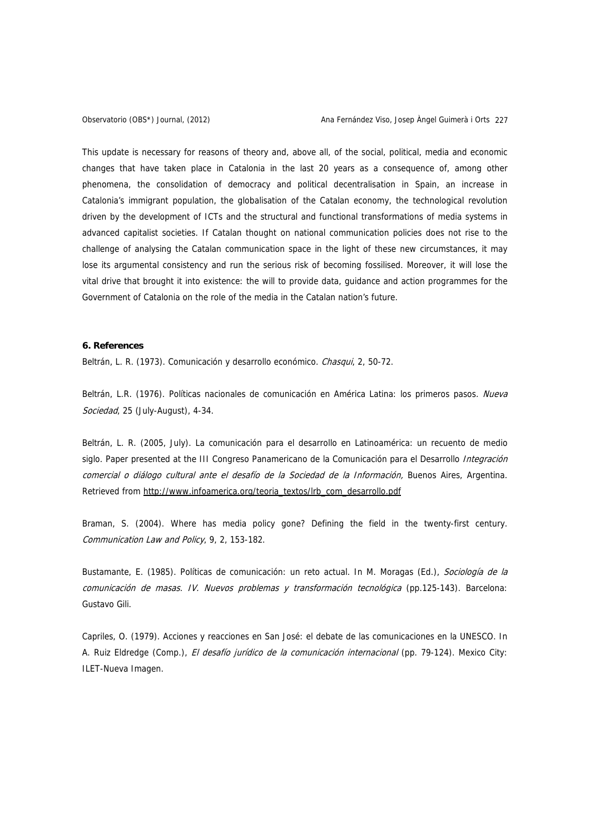This update is necessary for reasons of theory and, above all, of the social, political, media and economic changes that have taken place in Catalonia in the last 20 years as a consequence of, among other phenomena, the consolidation of democracy and political decentralisation in Spain, an increase in Catalonia's immigrant population, the globalisation of the Catalan economy, the technological revolution driven by the development of ICTs and the structural and functional transformations of media systems in advanced capitalist societies. If Catalan thought on national communication policies does not rise to the challenge of analysing the Catalan communication space in the light of these new circumstances, it may lose its argumental consistency and run the serious risk of becoming fossilised. Moreover, it will lose the vital drive that brought it into existence: the will to provide data, guidance and action programmes for the Government of Catalonia on the role of the media in the Catalan nation's future.

#### **6. References**

Beltrán, L. R. (1973). Comunicación y desarrollo económico. Chasqui, 2, 50-72.

Beltrán, L.R. (1976). Políticas nacionales de comunicación en América Latina: los primeros pasos. Nueva Sociedad, 25 (July-August), 4-34.

Beltrán, L. R. (2005, July). La comunicación para el desarrollo en Latinoamérica: un recuento de medio siglo. Paper presented at the III Congreso Panamericano de la Comunicación para el Desarrollo Integración comercial o diálogo cultural ante el desafío de la Sociedad de la Información, Buenos Aires, Argentina. Retrieved from [http://www.infoamerica.org/teoria\\_textos/lrb\\_com\\_desarrollo.pdf](http://www.infoamerica.org/teoria_textos/lrb_com_desarrollo.pdf)

Braman, S. (2004). Where has media policy gone? Defining the field in the twenty-first century. Communication Law and Policy, 9, 2, 153-182.

Bustamante, E. (1985). Políticas de comunicación: un reto actual. In M. Moragas (Ed.), Sociología de la comunicación de masas. IV. Nuevos problemas y transformación tecnológica (pp.125-143). Barcelona: Gustavo Gili.

Capriles, O. (1979). Acciones y reacciones en San José: el debate de las comunicaciones en la UNESCO. In A. Ruiz Eldredge (Comp.), El desafío jurídico de la comunicación internacional (pp. 79-124). Mexico City: ILET-Nueva Imagen.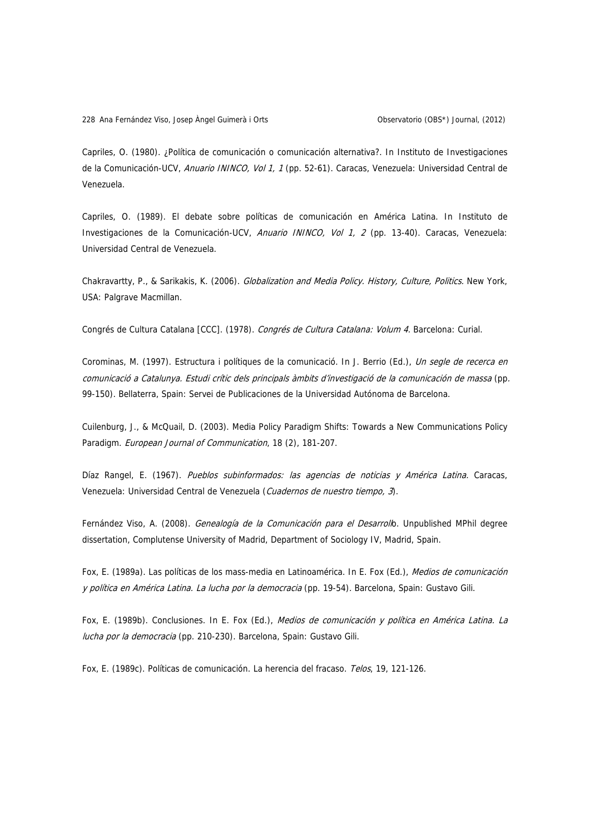Capriles, O. (1980). ¿Política de comunicación o comunicación alternativa?. In Instituto de Investigaciones de la Comunicación-UCV, Anuario ININCO, Vol 1, 1 (pp. 52-61). Caracas, Venezuela: Universidad Central de Venezuela.

Capriles, O. (1989). El debate sobre políticas de comunicación en América Latina. In Instituto de Investigaciones de la Comunicación-UCV, Anuario ININCO, Vol 1, 2 (pp. 13-40). Caracas, Venezuela: Universidad Central de Venezuela.

Chakravartty, P., & Sarikakis, K. (2006). Globalization and Media Policy. History, Culture, Politics. New York, USA: Palgrave Macmillan.

Congrés de Cultura Catalana [CCC]. (1978). Congrés de Cultura Catalana: Volum 4. Barcelona: Curial.

Corominas, M. (1997). Estructura i polítiques de la comunicació. In J. Berrio (Ed.), Un segle de recerca en comunicació a Catalunya. Estudi crític dels principals àmbits d'investigació de la comunicación de massa (pp. 99-150). Bellaterra, Spain: Servei de Publicaciones de la Universidad Autónoma de Barcelona.

Cuilenburg, J., & McQuail, D. (2003). Media Policy Paradigm Shifts: Towards a New Communications Policy Paradigm. European Journal of Communication, 18 (2), 181-207.

Díaz Rangel, E. (1967). Pueblos subinformados: las agencias de noticias y América Latina. Caracas, Venezuela: Universidad Central de Venezuela (Cuadernos de nuestro tiempo, 3).

Fernández Viso, A. (2008). Genealogía de la Comunicación para el Desarrollo. Unpublished MPhil degree dissertation, Complutense University of Madrid, Department of Sociology IV, Madrid, Spain.

Fox, E. (1989a). Las políticas de los mass-media en Latinoamérica. In E. Fox (Ed.), Medios de comunicación y política en América Latina. La lucha por la democracia (pp. 19-54). Barcelona, Spain: Gustavo Gili.

Fox, E. (1989b). Conclusiones. In E. Fox (Ed.), Medios de comunicación y política en América Latina. La lucha por la democracia (pp. 210-230). Barcelona, Spain: Gustavo Gili.

Fox, E. (1989c). Políticas de comunicación. La herencia del fracaso. Telos, 19, 121-126.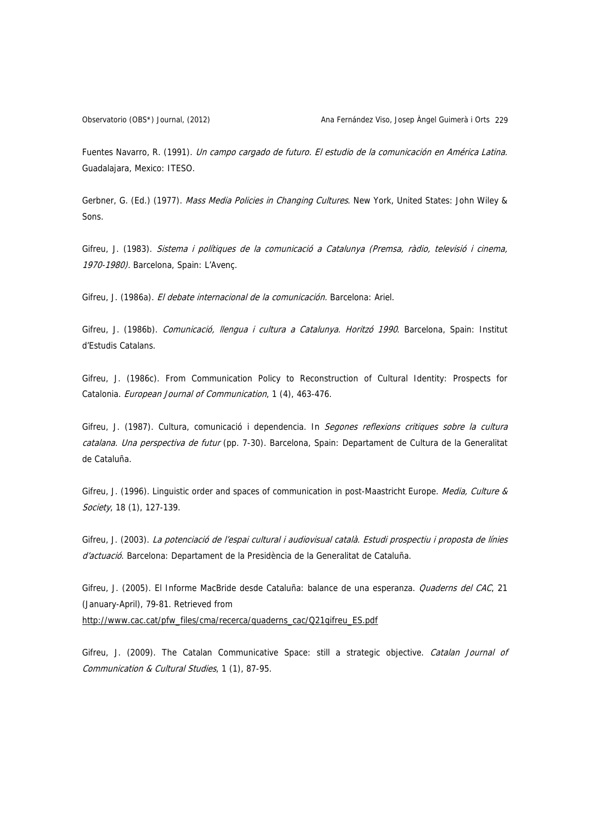Fuentes Navarro, R. (1991). Un campo cargado de futuro. El estudio de la comunicación en América Latina. Guadalajara, Mexico: ITESO.

Gerbner, G. (Ed.) (1977). Mass Media Policies in Changing Cultures. New York, United States: John Wiley & Sons.

Gifreu, J. (1983). Sistema i polítiques de la comunicació a Catalunya (Premsa, ràdio, televisió i cinema, 1970-1980). Barcelona, Spain: L'Avenç.

Gifreu, J. (1986a). El debate internacional de la comunicación. Barcelona: Ariel.

Gifreu, J. (1986b). Comunicació, llengua i cultura a Catalunya. Horitzó 1990. Barcelona, Spain: Institut d'Estudis Catalans.

Gifreu, J. (1986c). From Communication Policy to Reconstruction of Cultural Identity: Prospects for Catalonia. European Journal of Communication, 1 (4), 463-476.

Gifreu, J. (1987). Cultura, comunicació i dependencia. In Segones reflexions critiques sobre la cultura catalana. Una perspectiva de futur (pp. 7-30). Barcelona, Spain: Departament de Cultura de la Generalitat de Cataluña.

Gifreu, J. (1996). Linguistic order and spaces of communication in post-Maastricht Europe. Media, Culture & Society, 18 (1), 127-139.

Gifreu, J. (2003). La potenciació de l'espai cultural i audiovisual català. Estudi prospectiu i proposta de línies d'actuació. Barcelona: Departament de la Presidència de la Generalitat de Cataluña.

Gifreu, J. (2005). El Informe MacBride desde Cataluña: balance de una esperanza. Quaderns del CAC, 21 (January-April), 79-81. Retrieved from

[http://www.cac.cat/pfw\\_files/cma/recerca/quaderns\\_cac/Q21gifreu\\_ES.pdf](http://www.cac.cat/pfw_files/cma/recerca/quaderns_cac/Q21gifreu_ES.pdf)

Gifreu, J. (2009). The Catalan Communicative Space: still a strategic objective. Catalan Journal of Communication & Cultural Studies, 1 (1), 87-95.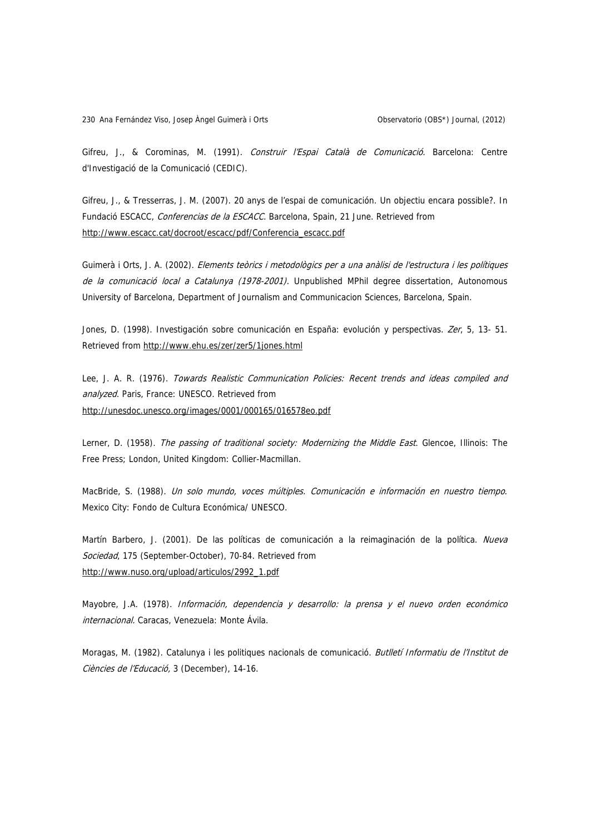Gifreu, J., & Corominas, M. (1991). Construir l'Espai Català de Comunicació. Barcelona: Centre d'Investigació de la Comunicació (CEDIC).

Gifreu, J., & Tresserras, J. M. (2007). 20 anys de l'espai de comunicación. Un objectiu encara possible?. In Fundació ESCACC, Conferencias de la ESCACC. Barcelona, Spain, 21 June. Retrieved from [http://www.escacc.cat/docroot/escacc/pdf/Conferencia\\_escacc.pdf](http://www.escacc.cat/docroot/escacc/pdf/Conferencia_escacc.pdf)

Guimerà i Orts, J. A. (2002). Elements teòrics i metodològics per a una anàlisi de l'estructura i les polítiques de la comunicació local a Catalunya (1978-2001). Unpublished MPhil degree dissertation, Autonomous University of Barcelona, Department of Journalism and Communicacion Sciences, Barcelona, Spain.

Jones, D. (1998). Investigación sobre comunicación en España: evolución y perspectivas. Zer, 5, 13- 51. Retrieved from <http://www.ehu.es/zer/zer5/1jones.html>

Lee, J. A. R. (1976). Towards Realistic Communication Policies: Recent trends and ideas compiled and analyzed. Paris, France: UNESCO. Retrieved from <http://unesdoc.unesco.org/images/0001/000165/016578eo.pdf>

Lerner, D. (1958). The passing of traditional society: Modernizing the Middle East. Glencoe, Illinois: The Free Press; London, United Kingdom: Collier-Macmillan.

MacBride, S. (1988). Un solo mundo, voces múltiples. Comunicación e información en nuestro tiempo. Mexico City: Fondo de Cultura Económica/ UNESCO.

Martín Barbero, J. (2001). De las políticas de comunicación a la reimaginación de la política. Nueva Sociedad, 175 (September-October), 70-84. Retrieved from [http://www.nuso.org/upload/articulos/2992\\_1.pdf](http://www.nuso.org/upload/articulos/2992_1.pdf)

Mayobre, J.A. (1978). Información, dependencia y desarrollo: la prensa y el nuevo orden económico internacional. Caracas, Venezuela: Monte Ávila.

Moragas, M. (1982). Catalunya i les politiques nacionals de comunicació. Butlletí Informatiu de l'Institut de Ciències de l'Educació, 3 (December), 14-16.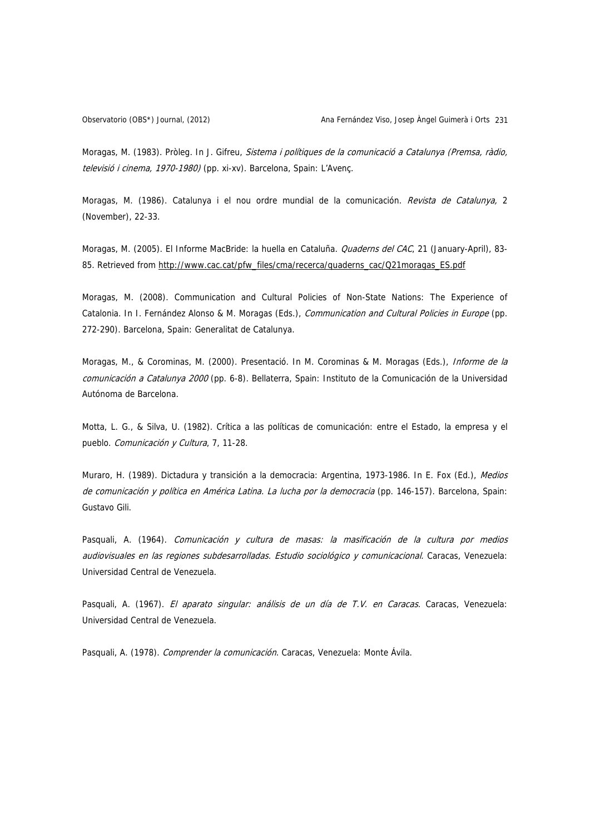Moragas, M. (1983). Pròleg. In J. Gifreu, Sistema i polítiques de la comunicació a Catalunya (Premsa, ràdio, televisió i cinema, 1970-1980) (pp. xi-xv). Barcelona, Spain: L'Avenç.

Moragas, M. (1986). Catalunya i el nou ordre mundial de la comunicación. Revista de Catalunya, 2 (November), 22-33.

Moragas, M. (2005). El Informe MacBride: la huella en Cataluña. Quaderns del CAC, 21 (January-April), 83-85. Retrieved from [http://www.cac.cat/pfw\\_files/cma/recerca/quaderns\\_cac/Q21moragas\\_ES.pdf](http://www.cac.cat/pfw_files/cma/recerca/quaderns_cac/Q21moragas_ES.pdf)

Moragas, M. (2008). Communication and Cultural Policies of Non-State Nations: The Experience of Catalonia. In I. Fernández Alonso & M. Moragas (Eds.), Communication and Cultural Policies in Europe (pp. 272-290). Barcelona, Spain: Generalitat de Catalunya.

Moragas, M., & Corominas, M. (2000). Presentació. In M. Corominas & M. Moragas (Eds.), Informe de la comunicación a Catalunya 2000 (pp. 6-8). Bellaterra, Spain: Instituto de la Comunicación de la Universidad Autónoma de Barcelona.

Motta, L. G., & Silva, U. (1982). Crítica a las políticas de comunicación: entre el Estado, la empresa y el pueblo. Comunicación y Cultura, 7, 11-28.

Muraro, H. (1989). Dictadura y transición a la democracia: Argentina, 1973-1986. In E. Fox (Ed.), Medios de comunicación y política en América Latina. La lucha por la democracia (pp. 146-157). Barcelona, Spain: Gustavo Gili.

Pasquali, A. (1964). Comunicación y cultura de masas: la masificación de la cultura por medios audiovisuales en las regiones subdesarrolladas. Estudio sociológico y comunicacional. Caracas, Venezuela: Universidad Central de Venezuela.

Pasquali, A. (1967). El aparato singular: análisis de un día de T.V. en Caracas. Caracas, Venezuela: Universidad Central de Venezuela.

Pasquali, A. (1978). Comprender la comunicación. Caracas, Venezuela: Monte Ávila.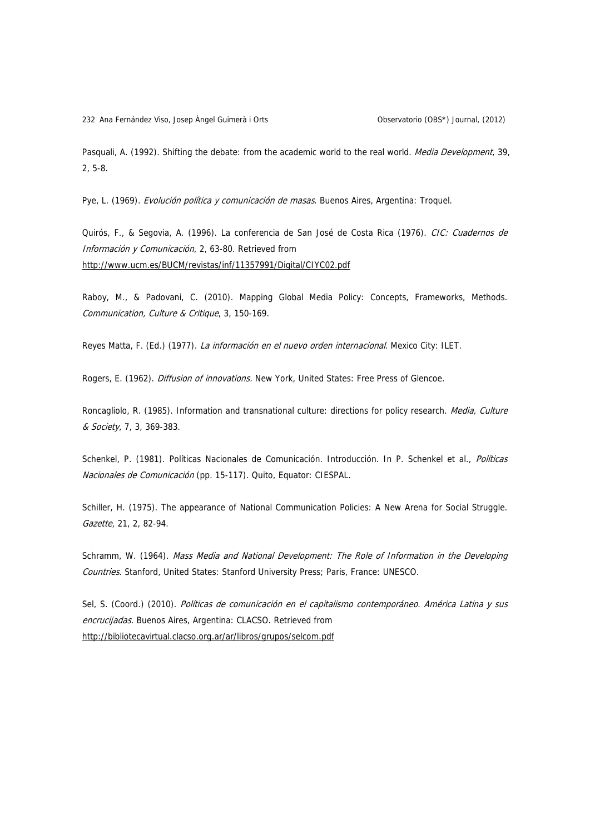232 Ana Fernández Viso, Josep Àngel Guimerà i Orts Observatorio (OBS\*) Journal, (2012)

Pasquali, A. (1992). Shifting the debate: from the academic world to the real world. Media Development, 39, 2, 5-8.

Pye, L. (1969). Evolución política y comunicación de masas. Buenos Aires, Argentina: Troquel.

Quirós, F., & Segovia, A. (1996). La conferencia de San José de Costa Rica (1976). CIC: Cuadernos de Información y Comunicación, 2, 63-80. Retrieved from <http://www.ucm.es/BUCM/revistas/inf/11357991/Digital/CIYC02.pdf>

Raboy, M., & Padovani, C. (2010). Mapping Global Media Policy: Concepts, Frameworks, Methods. Communication, Culture & Critique, 3, 150-169.

Reyes Matta, F. (Ed.) (1977). La información en el nuevo orden internacional. Mexico City: ILET.

Rogers, E. (1962). *Diffusion of innovations*. New York, United States: Free Press of Glencoe.

Roncagliolo, R. (1985). Information and transnational culture: directions for policy research. Media, Culture & Society, 7, 3, 369-383.

Schenkel, P. (1981). Políticas Nacionales de Comunicación. Introducción. In P. Schenkel et al., Políticas Nacionales de Comunicación (pp. 15-117). Quito, Equator: CIESPAL.

Schiller, H. (1975). The appearance of National Communication Policies: A New Arena for Social Struggle. Gazette, 21, 2, 82-94.

Schramm, W. (1964). Mass Media and National Development: The Role of Information in the Developing Countries. Stanford, United States: Stanford University Press; Paris, France: UNESCO.

Sel, S. (Coord.) (2010). Políticas de comunicación en el capitalismo contemporáneo. América Latina y sus encrucijadas. Buenos Aires, Argentina: CLACSO. Retrieved from <http://bibliotecavirtual.clacso.org.ar/ar/libros/grupos/selcom.pdf>